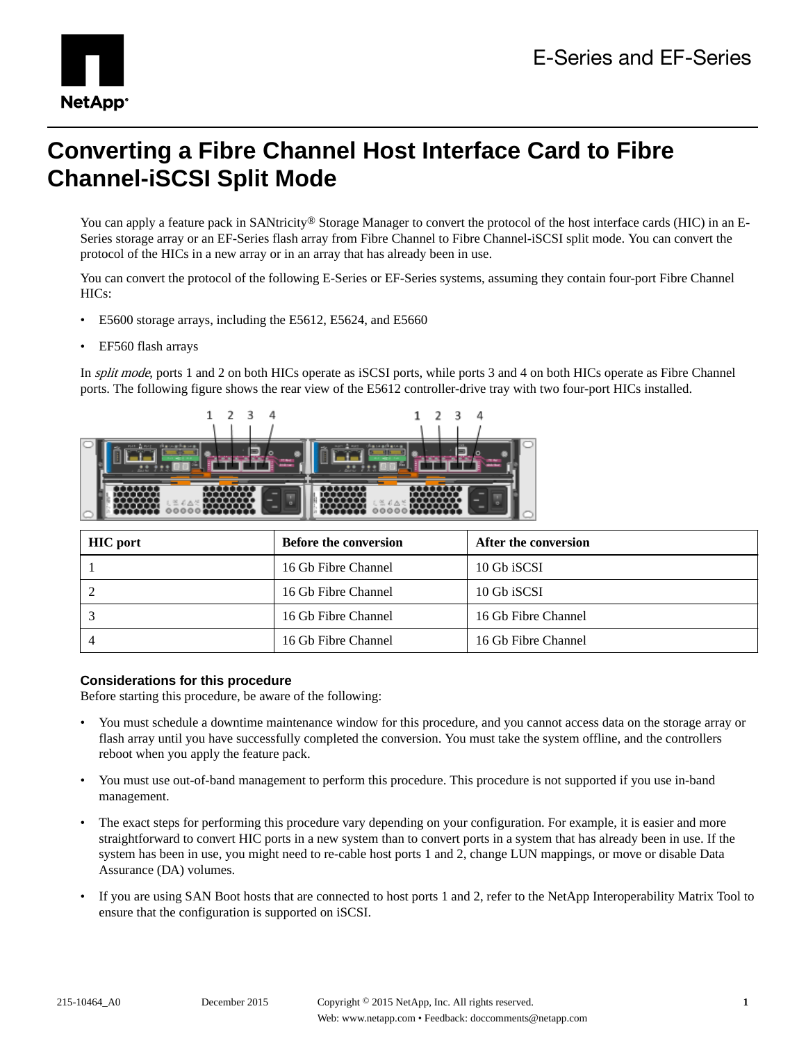

# **Converting a Fibre Channel Host Interface Card to Fibre Channel-iSCSI Split Mode**

You can apply a feature pack in SANtricity<sup>®</sup> Storage Manager to convert the protocol of the host interface cards (HIC) in an E-Series storage array or an EF-Series flash array from Fibre Channel to Fibre Channel-iSCSI split mode. You can convert the protocol of the HICs in a new array or in an array that has already been in use.

You can convert the protocol of the following E-Series or EF-Series systems, assuming they contain four-port Fibre Channel HICs:

- E5600 storage arrays, including the E5612, E5624, and E5660
- EF560 flash arrays

In split mode, ports 1 and 2 on both HICs operate as iSCSI ports, while ports 3 and 4 on both HICs operate as Fibre Channel ports. The following figure shows the rear view of the E5612 controller-drive tray with two four-port HICs installed.



| <b>HIC</b> port | <b>Before the conversion</b> | After the conversion |
|-----------------|------------------------------|----------------------|
|                 | 16 Gb Fibre Channel          | 10 Gb iSCSI          |
|                 | 16 Gb Fibre Channel          | 10 Gb iSCSI          |
|                 | 16 Gb Fibre Channel          | 16 Gb Fibre Channel  |
|                 | 16 Gb Fibre Channel          | 16 Gb Fibre Channel  |

### **Considerations for this procedure**

Before starting this procedure, be aware of the following:

- You must schedule a downtime maintenance window for this procedure, and you cannot access data on the storage array or flash array until you have successfully completed the conversion. You must take the system offline, and the controllers reboot when you apply the feature pack.
- You must use out-of-band management to perform this procedure. This procedure is not supported if you use in-band management.
- The exact steps for performing this procedure vary depending on your configuration. For example, it is easier and more straightforward to convert HIC ports in a new system than to convert ports in a system that has already been in use. If the system has been in use, you might need to re-cable host ports 1 and 2, change LUN mappings, or move or disable Data Assurance (DA) volumes.
- If you are using SAN Boot hosts that are connected to host ports 1 and 2, refer to the NetApp Interoperability Matrix Tool to ensure that the configuration is supported on iSCSI.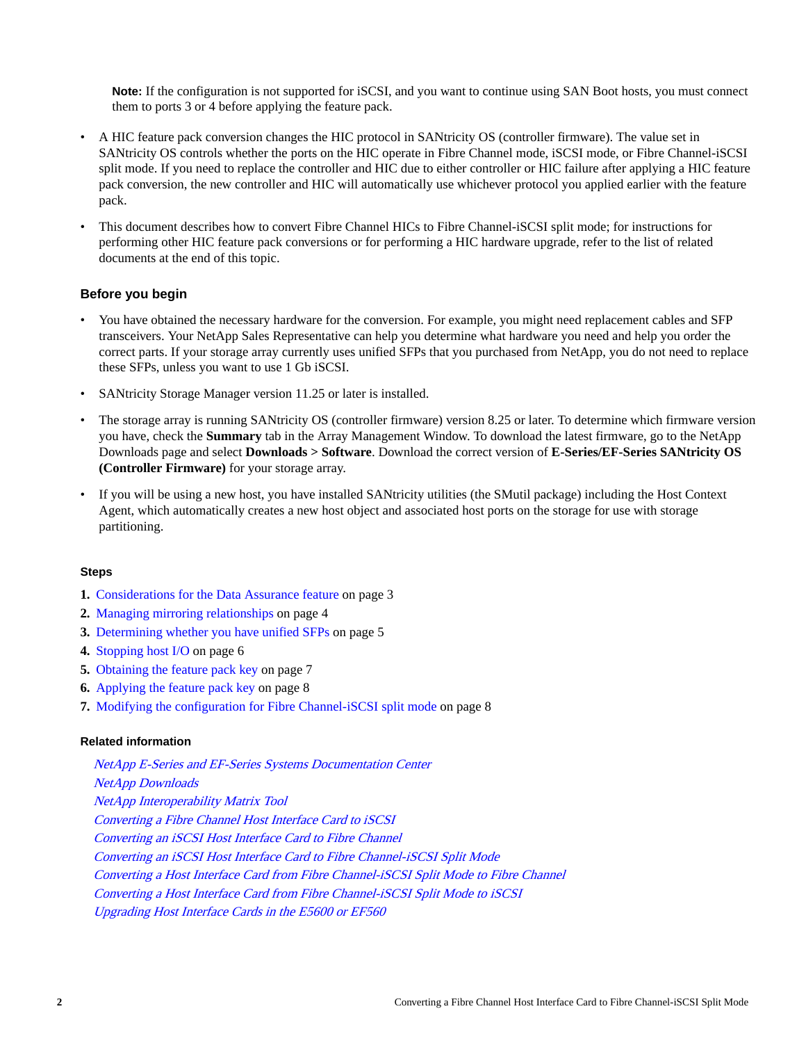**Note:** If the configuration is not supported for iSCSI, and you want to continue using SAN Boot hosts, you must connect them to ports 3 or 4 before applying the feature pack.

- A HIC feature pack conversion changes the HIC protocol in SANtricity OS (controller firmware). The value set in SANtricity OS controls whether the ports on the HIC operate in Fibre Channel mode, iSCSI mode, or Fibre Channel-iSCSI split mode. If you need to replace the controller and HIC due to either controller or HIC failure after applying a HIC feature pack conversion, the new controller and HIC will automatically use whichever protocol you applied earlier with the feature pack.
- This document describes how to convert Fibre Channel HICs to Fibre Channel-iSCSI split mode; for instructions for performing other HIC feature pack conversions or for performing a HIC hardware upgrade, refer to the list of related documents at the end of this topic.

### **Before you begin**

- You have obtained the necessary hardware for the conversion. For example, you might need replacement cables and SFP transceivers. Your NetApp Sales Representative can help you determine what hardware you need and help you order the correct parts. If your storage array currently uses unified SFPs that you purchased from NetApp, you do not need to replace these SFPs, unless you want to use 1 Gb iSCSI.
- SANtricity Storage Manager version 11.25 or later is installed.
- The storage array is running SANtricity OS (controller firmware) version 8.25 or later. To determine which firmware version you have, check the **Summary** tab in the Array Management Window. To download the latest firmware, go to the NetApp Downloads page and select **Downloads > Software**. Download the correct version of **E-Series/EF-Series SANtricity OS (Controller Firmware)** for your storage array.
- If you will be using a new host, you have installed SANtricity utilities (the SMutil package) including the Host Context Agent, which automatically creates a new host object and associated host ports on the storage for use with storage partitioning.

### **Steps**

- **1.** [Considerations for the Data Assurance feature](#page-2-0) on page 3
- **2.** [Managing mirroring relationships](#page-3-0) on page 4
- **3.** [Determining whether you have unified SFPs](#page-4-0) on page 5
- **4.** [Stopping host I/O](#page-5-0) on page 6
- **5.** [Obtaining the feature pack key](#page-6-0) on page 7
- **6.** [Applying the feature pack key](#page-7-0) on page 8
- **7.** [Modifying the configuration for Fibre Channel-iSCSI split mode](#page-7-0) on page 8

### **Related information**

[NetApp E-Series and EF-Series Systems Documentation Center](http://mysupport.netapp.com/info/web/ECMP1658252.html) [NetApp Downloads](http://mysupport.netapp.com/eservice/Download.jsp/) [NetApp Interoperability Matrix Tool](http://mysupport.netapp.com/matrix) [Converting a Fibre Channel Host Interface Card to iSCSI](https://library.netapp.com/ecm/ecm_download_file/ECMP12432518) [Converting an iSCSI Host Interface Card to Fibre Channel](https://library.netapp.com/ecm/ecm_download_file/ECMP12396179) [Converting an iSCSI Host Interface Card to Fibre Channel-iSCSI Split Mode](https://library.netapp.com/ecm/ecm_download_file/ECMLP2316695) [Converting a Host Interface Card from Fibre Channel-iSCSI Split Mode to Fibre Channel](https://library.netapp.com/ecm/ecm_download_file/ECMLP2316704) [Converting a Host Interface Card from Fibre Channel-iSCSI Split Mode to iSCSI](https://library.netapp.com/ecm/ecm_download_file/ECMLP2316708) [Upgrading Host Interface Cards in the E5600 or EF560](https://library.netapp.com/ecm/ecm_download_file/ECMP1552930)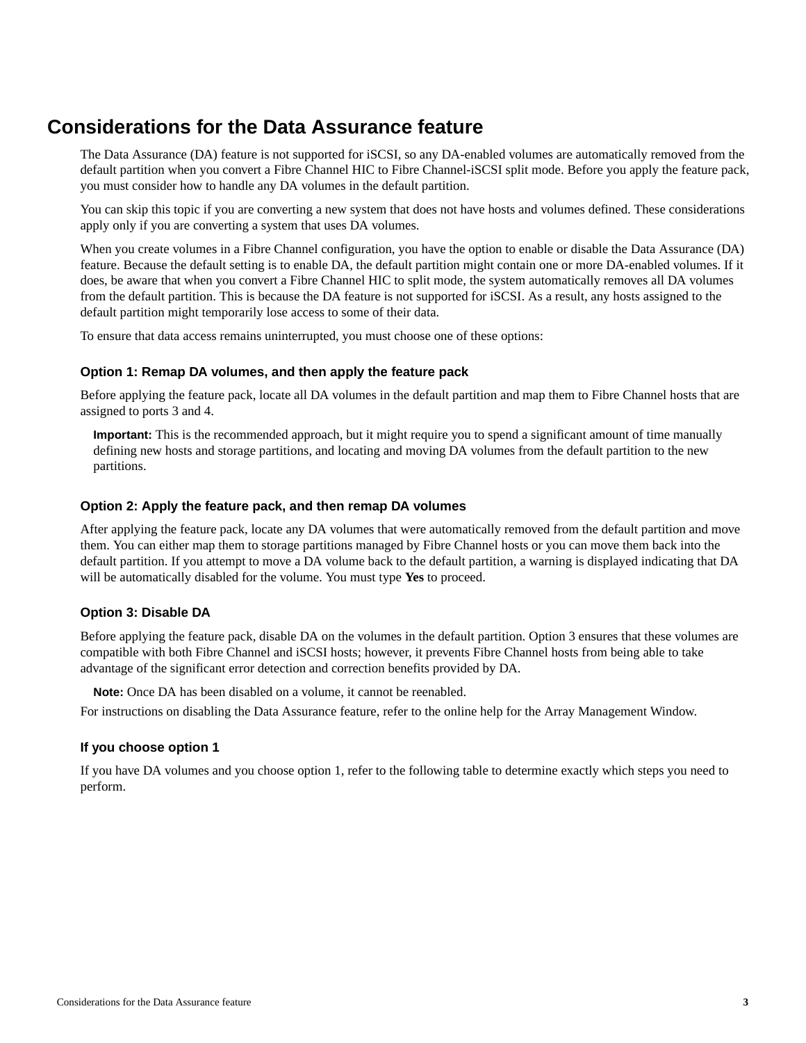## <span id="page-2-0"></span>**Considerations for the Data Assurance feature**

The Data Assurance (DA) feature is not supported for iSCSI, so any DA-enabled volumes are automatically removed from the default partition when you convert a Fibre Channel HIC to Fibre Channel-iSCSI split mode. Before you apply the feature pack, you must consider how to handle any DA volumes in the default partition.

You can skip this topic if you are converting a new system that does not have hosts and volumes defined. These considerations apply only if you are converting a system that uses DA volumes.

When you create volumes in a Fibre Channel configuration, you have the option to enable or disable the Data Assurance (DA) feature. Because the default setting is to enable DA, the default partition might contain one or more DA-enabled volumes. If it does, be aware that when you convert a Fibre Channel HIC to split mode, the system automatically removes all DA volumes from the default partition. This is because the DA feature is not supported for iSCSI. As a result, any hosts assigned to the default partition might temporarily lose access to some of their data.

To ensure that data access remains uninterrupted, you must choose one of these options:

### **Option 1: Remap DA volumes, and then apply the feature pack**

Before applying the feature pack, locate all DA volumes in the default partition and map them to Fibre Channel hosts that are assigned to ports 3 and 4.

**Important:** This is the recommended approach, but it might require you to spend a significant amount of time manually defining new hosts and storage partitions, and locating and moving DA volumes from the default partition to the new partitions.

### **Option 2: Apply the feature pack, and then remap DA volumes**

After applying the feature pack, locate any DA volumes that were automatically removed from the default partition and move them. You can either map them to storage partitions managed by Fibre Channel hosts or you can move them back into the default partition. If you attempt to move a DA volume back to the default partition, a warning is displayed indicating that DA will be automatically disabled for the volume. You must type **Yes** to proceed.

### **Option 3: Disable DA**

Before applying the feature pack, disable DA on the volumes in the default partition. Option 3 ensures that these volumes are compatible with both Fibre Channel and iSCSI hosts; however, it prevents Fibre Channel hosts from being able to take advantage of the significant error detection and correction benefits provided by DA.

**Note:** Once DA has been disabled on a volume, it cannot be reenabled.

For instructions on disabling the Data Assurance feature, refer to the online help for the Array Management Window.

### **If you choose option 1**

If you have DA volumes and you choose option 1, refer to the following table to determine exactly which steps you need to perform.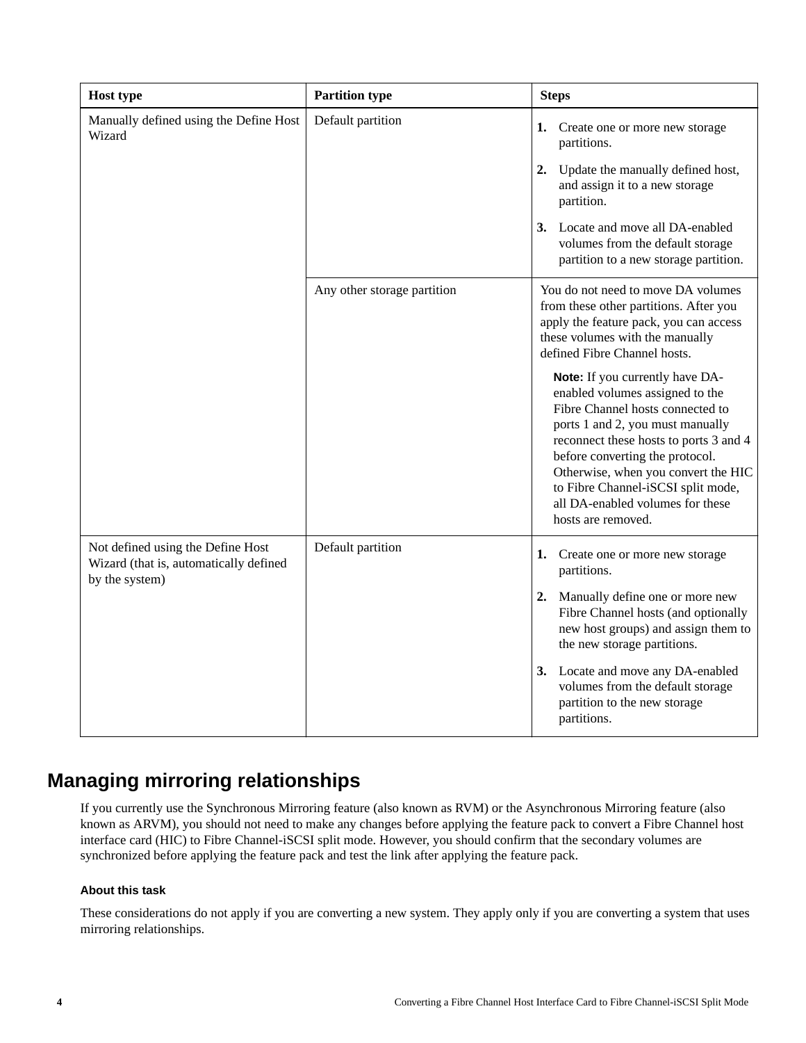<span id="page-3-0"></span>

| <b>Host type</b>                                                                              | <b>Partition type</b>       | <b>Steps</b>                                                                                                                                                                                                                                                                                                                                                   |
|-----------------------------------------------------------------------------------------------|-----------------------------|----------------------------------------------------------------------------------------------------------------------------------------------------------------------------------------------------------------------------------------------------------------------------------------------------------------------------------------------------------------|
| Manually defined using the Define Host<br>Wizard                                              | Default partition           | 1.<br>Create one or more new storage<br>partitions.<br>2.<br>Update the manually defined host,<br>and assign it to a new storage<br>partition.                                                                                                                                                                                                                 |
|                                                                                               |                             | 3. Locate and move all DA-enabled<br>volumes from the default storage<br>partition to a new storage partition.                                                                                                                                                                                                                                                 |
|                                                                                               | Any other storage partition | You do not need to move DA volumes<br>from these other partitions. After you<br>apply the feature pack, you can access<br>these volumes with the manually<br>defined Fibre Channel hosts.                                                                                                                                                                      |
|                                                                                               |                             | Note: If you currently have DA-<br>enabled volumes assigned to the<br>Fibre Channel hosts connected to<br>ports 1 and 2, you must manually<br>reconnect these hosts to ports 3 and 4<br>before converting the protocol.<br>Otherwise, when you convert the HIC<br>to Fibre Channel-iSCSI split mode,<br>all DA-enabled volumes for these<br>hosts are removed. |
| Not defined using the Define Host<br>Wizard (that is, automatically defined<br>by the system) | Default partition           | 1. Create one or more new storage<br>partitions.                                                                                                                                                                                                                                                                                                               |
|                                                                                               |                             | 2. Manually define one or more new<br>Fibre Channel hosts (and optionally<br>new host groups) and assign them to<br>the new storage partitions.                                                                                                                                                                                                                |
|                                                                                               |                             | 3. Locate and move any DA-enabled<br>volumes from the default storage<br>partition to the new storage<br>partitions.                                                                                                                                                                                                                                           |

# **Managing mirroring relationships**

If you currently use the Synchronous Mirroring feature (also known as RVM) or the Asynchronous Mirroring feature (also known as ARVM), you should not need to make any changes before applying the feature pack to convert a Fibre Channel host interface card (HIC) to Fibre Channel-iSCSI split mode. However, you should confirm that the secondary volumes are synchronized before applying the feature pack and test the link after applying the feature pack.

### **About this task**

These considerations do not apply if you are converting a new system. They apply only if you are converting a system that uses mirroring relationships.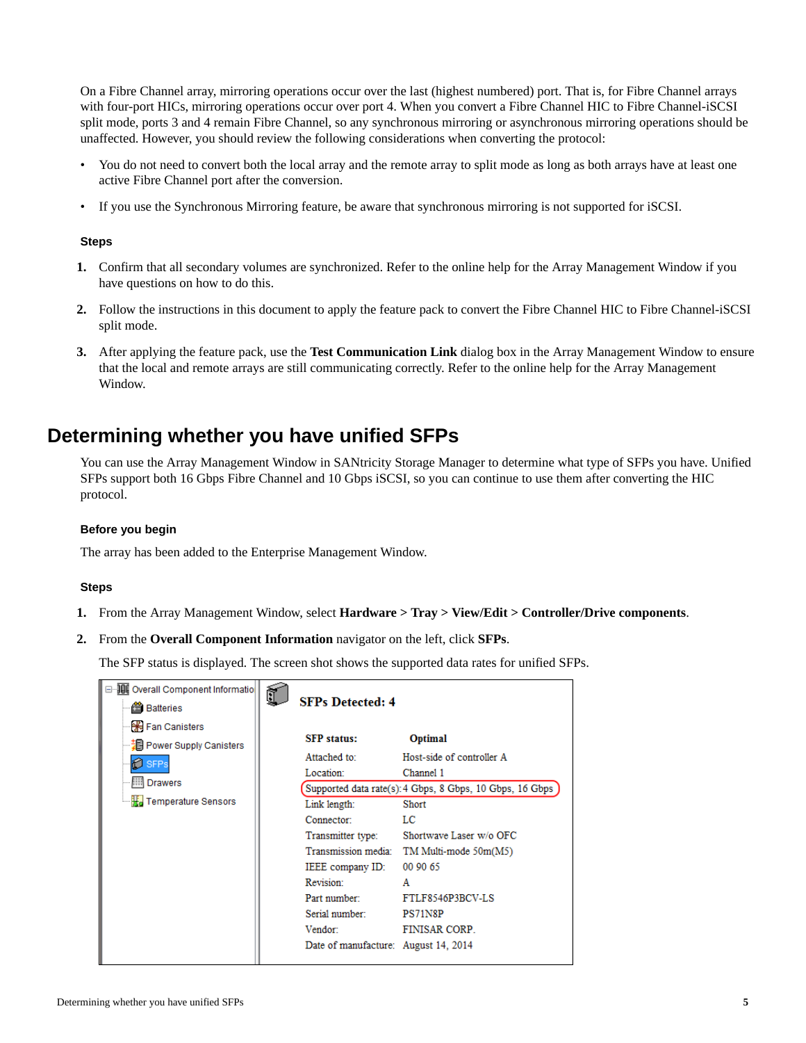<span id="page-4-0"></span>On a Fibre Channel array, mirroring operations occur over the last (highest numbered) port. That is, for Fibre Channel arrays with four-port HICs, mirroring operations occur over port 4. When you convert a Fibre Channel HIC to Fibre Channel-iSCSI split mode, ports 3 and 4 remain Fibre Channel, so any synchronous mirroring or asynchronous mirroring operations should be unaffected. However, you should review the following considerations when converting the protocol:

- You do not need to convert both the local array and the remote array to split mode as long as both arrays have at least one active Fibre Channel port after the conversion.
- If you use the Synchronous Mirroring feature, be aware that synchronous mirroring is not supported for iSCSI.

### **Steps**

- **1.** Confirm that all secondary volumes are synchronized. Refer to the online help for the Array Management Window if you have questions on how to do this.
- **2.** Follow the instructions in this document to apply the feature pack to convert the Fibre Channel HIC to Fibre Channel-iSCSI split mode.
- **3.** After applying the feature pack, use the **Test Communication Link** dialog box in the Array Management Window to ensure that the local and remote arrays are still communicating correctly. Refer to the online help for the Array Management Window.

## **Determining whether you have unified SFPs**

You can use the Array Management Window in SANtricity Storage Manager to determine what type of SFPs you have. Unified SFPs support both 16 Gbps Fibre Channel and 10 Gbps iSCSI, so you can continue to use them after converting the HIC protocol.

### **Before you begin**

The array has been added to the Enterprise Management Window.

### **Steps**

- **1.** From the Array Management Window, select **Hardware > Tray > View/Edit > Controller/Drive components**.
- **2.** From the **Overall Component Information** navigator on the left, click **SFPs**.

The SFP status is displayed. The screen shot shows the supported data rates for unified SFPs.

| <b>JUL</b> Overall Component Informatio<br><b>台</b> Batteries                                                               | Ì | <b>SFPs Detected: 4</b>                                                                                                                                                                                                                         |                                                                                                                                                                                                                                                          |
|-----------------------------------------------------------------------------------------------------------------------------|---|-------------------------------------------------------------------------------------------------------------------------------------------------------------------------------------------------------------------------------------------------|----------------------------------------------------------------------------------------------------------------------------------------------------------------------------------------------------------------------------------------------------------|
| <b>H</b> Fan Canisters<br>┈ 제 Power Supply Canisters<br><b>SFPs</b><br><b>IIII</b> Drawers<br><b>He</b> Temperature Sensors |   | <b>SFP</b> status:<br>Attached to:<br>Location:<br>Link length:<br>Connector:<br>Transmitter type:<br>Transmission media:<br>IEEE company ID:<br>Revision:<br>Part number:<br>Serial number:<br>Vendor:<br>Date of manufacture: August 14, 2014 | Optimal<br>Host-side of controller A<br>Channel 1<br>Supported data rate(s): 4 Gbps, 8 Gbps, 10 Gbps, 16 Gbps<br><b>Short</b><br>LC<br>Shortwave Laser w/o OFC<br>TM Multi-mode 50m(M5)<br>00 90 65<br>A<br>FTLF8546P3BCV-LS<br>PS71N8P<br>FINISAR CORP. |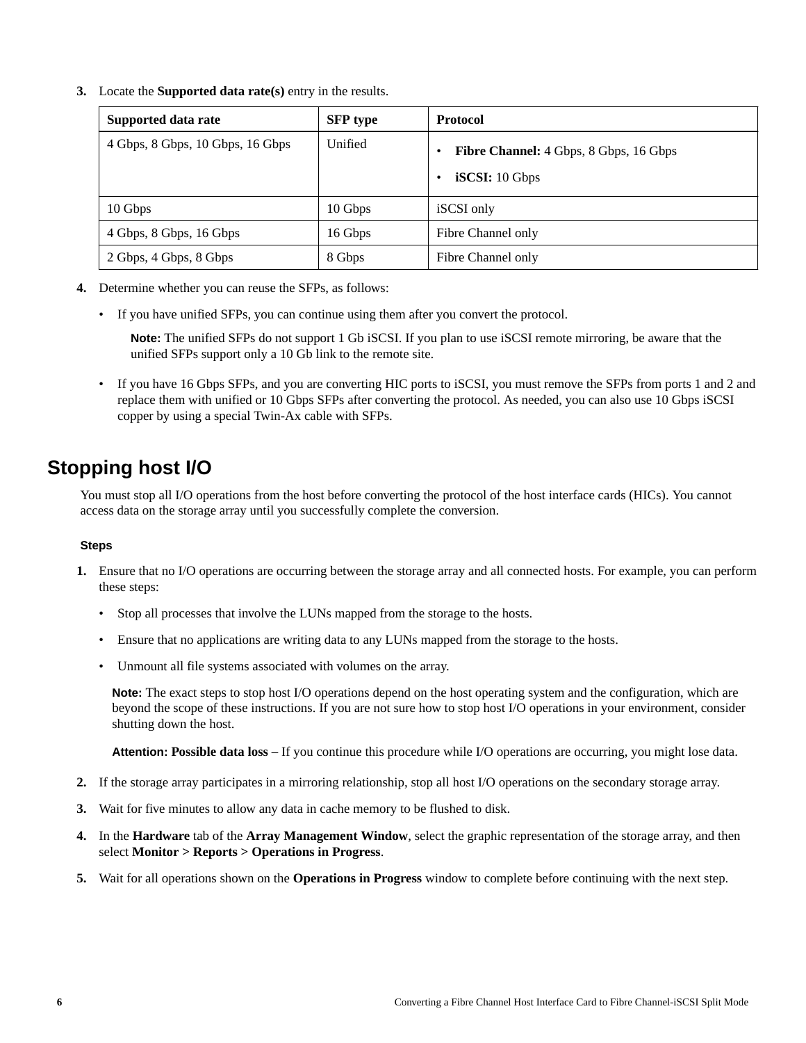<span id="page-5-0"></span>**3.** Locate the **Supported data rate(s)** entry in the results.

| Supported data rate              | <b>SFP</b> type | <b>Protocol</b>                                                           |
|----------------------------------|-----------------|---------------------------------------------------------------------------|
| 4 Gbps, 8 Gbps, 10 Gbps, 16 Gbps | Unified         | <b>Fibre Channel:</b> 4 Gbps, 8 Gbps, 16 Gbps<br>٠<br>iSCSI: 10 Gbps<br>٠ |
| 10 Gbps                          | 10 Gbps         | iSCSI only                                                                |
| 4 Gbps, 8 Gbps, 16 Gbps          | 16 Gbps         | Fibre Channel only                                                        |
| 2 Gbps, 4 Gbps, 8 Gbps           | 8 Gbps          | Fibre Channel only                                                        |

- **4.** Determine whether you can reuse the SFPs, as follows:
	- If you have unified SFPs, you can continue using them after you convert the protocol.

**Note:** The unified SFPs do not support 1 Gb iSCSI. If you plan to use iSCSI remote mirroring, be aware that the unified SFPs support only a 10 Gb link to the remote site.

• If you have 16 Gbps SFPs, and you are converting HIC ports to iSCSI, you must remove the SFPs from ports 1 and 2 and replace them with unified or 10 Gbps SFPs after converting the protocol. As needed, you can also use 10 Gbps iSCSI copper by using a special Twin-Ax cable with SFPs.

### **Stopping host I/O**

You must stop all I/O operations from the host before converting the protocol of the host interface cards (HICs). You cannot access data on the storage array until you successfully complete the conversion.

### **Steps**

- **1.** Ensure that no I/O operations are occurring between the storage array and all connected hosts. For example, you can perform these steps:
	- Stop all processes that involve the LUNs mapped from the storage to the hosts.
	- Ensure that no applications are writing data to any LUNs mapped from the storage to the hosts.
	- Unmount all file systems associated with volumes on the array.

**Note:** The exact steps to stop host I/O operations depend on the host operating system and the configuration, which are beyond the scope of these instructions. If you are not sure how to stop host I/O operations in your environment, consider shutting down the host.

**Attention: Possible data loss** – If you continue this procedure while I/O operations are occurring, you might lose data.

- **2.** If the storage array participates in a mirroring relationship, stop all host I/O operations on the secondary storage array.
- **3.** Wait for five minutes to allow any data in cache memory to be flushed to disk.
- **4.** In the **Hardware** tab of the **Array Management Window**, select the graphic representation of the storage array, and then select **Monitor > Reports > Operations in Progress**.
- **5.** Wait for all operations shown on the **Operations in Progress** window to complete before continuing with the next step.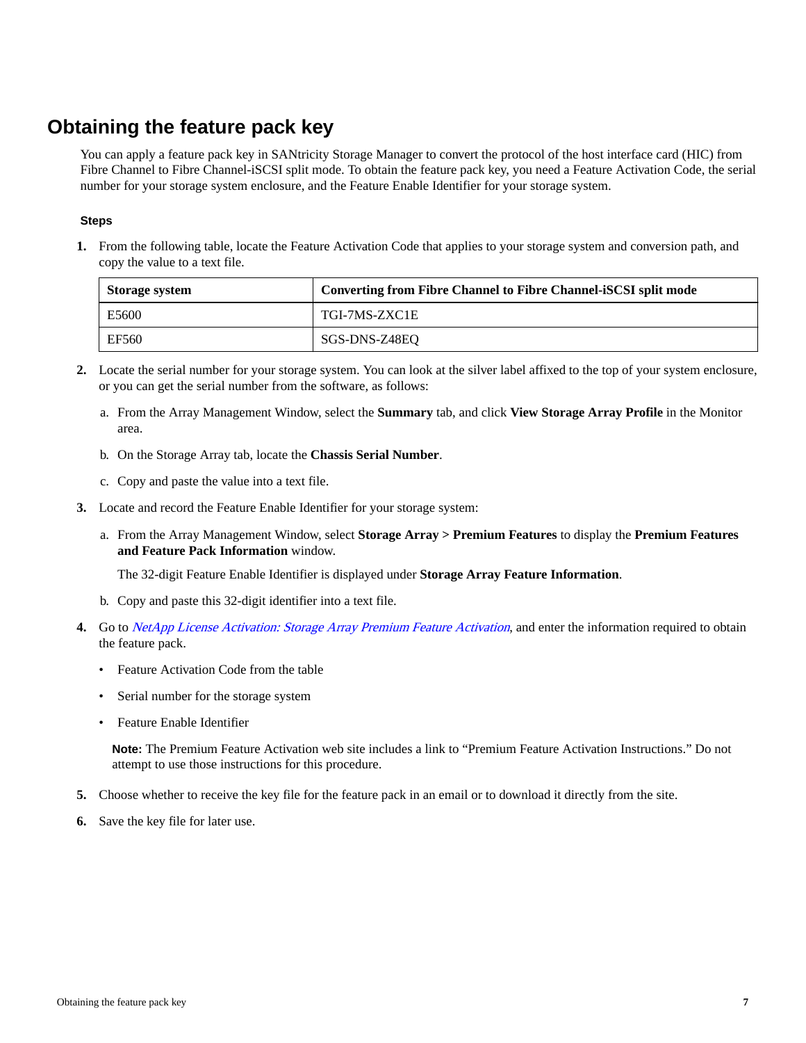# <span id="page-6-0"></span>**Obtaining the feature pack key**

You can apply a feature pack key in SANtricity Storage Manager to convert the protocol of the host interface card (HIC) from Fibre Channel to Fibre Channel-iSCSI split mode. To obtain the feature pack key, you need a Feature Activation Code, the serial number for your storage system enclosure, and the Feature Enable Identifier for your storage system.

### **Steps**

**1.** From the following table, locate the Feature Activation Code that applies to your storage system and conversion path, and copy the value to a text file.

| Storage system | <b>Converting from Fibre Channel to Fibre Channel-iSCSI split mode</b> |
|----------------|------------------------------------------------------------------------|
| E5600          | TGI-7MS-ZXC1E                                                          |
| EF560          | SGS-DNS-Z48EO                                                          |

- **2.** Locate the serial number for your storage system. You can look at the silver label affixed to the top of your system enclosure, or you can get the serial number from the software, as follows:
	- a. From the Array Management Window, select the **Summary** tab, and click **View Storage Array Profile** in the Monitor area.
	- b. On the Storage Array tab, locate the **Chassis Serial Number**.
	- c. Copy and paste the value into a text file.
- **3.** Locate and record the Feature Enable Identifier for your storage system:
	- a. From the Array Management Window, select **Storage Array > Premium Features** to display the **Premium Features and Feature Pack Information** window.

The 32-digit Feature Enable Identifier is displayed under **Storage Array Feature Information**.

- b. Copy and paste this 32-digit identifier into a text file.
- **4.** Go to [NetApp License Activation: Storage Array Premium Feature Activation](http://partnerspfk.netapp.com), and enter the information required to obtain the feature pack.
	- Feature Activation Code from the table
	- Serial number for the storage system
	- Feature Enable Identifier

**Note:** The Premium Feature Activation web site includes a link to "Premium Feature Activation Instructions." Do not attempt to use those instructions for this procedure.

- **5.** Choose whether to receive the key file for the feature pack in an email or to download it directly from the site.
- **6.** Save the key file for later use.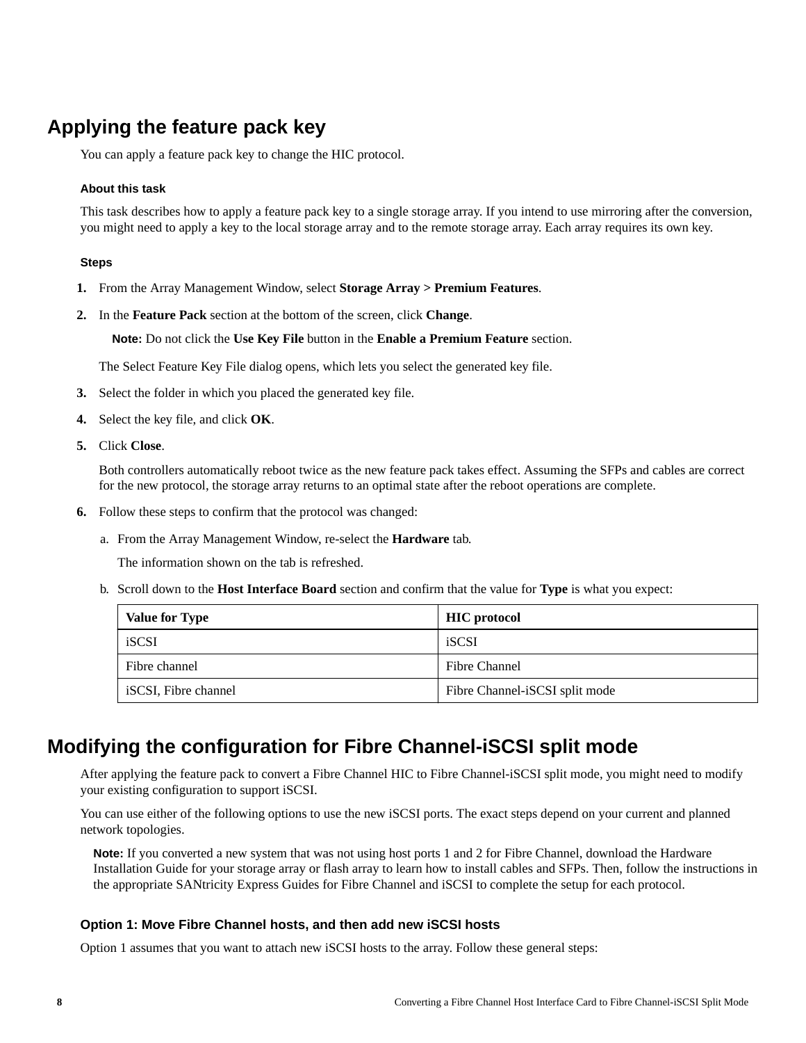# <span id="page-7-0"></span>**Applying the feature pack key**

You can apply a feature pack key to change the HIC protocol.

### **About this task**

This task describes how to apply a feature pack key to a single storage array. If you intend to use mirroring after the conversion, you might need to apply a key to the local storage array and to the remote storage array. Each array requires its own key.

#### **Steps**

- **1.** From the Array Management Window, select **Storage Array > Premium Features**.
- **2.** In the **Feature Pack** section at the bottom of the screen, click **Change**.

**Note:** Do not click the **Use Key File** button in the **Enable a Premium Feature** section.

The Select Feature Key File dialog opens, which lets you select the generated key file.

- **3.** Select the folder in which you placed the generated key file.
- **4.** Select the key file, and click **OK**.
- **5.** Click **Close**.

Both controllers automatically reboot twice as the new feature pack takes effect. Assuming the SFPs and cables are correct for the new protocol, the storage array returns to an optimal state after the reboot operations are complete.

- **6.** Follow these steps to confirm that the protocol was changed:
	- a. From the Array Management Window, re-select the **Hardware** tab.

The information shown on the tab is refreshed.

b. Scroll down to the **Host Interface Board** section and confirm that the value for **Type** is what you expect:

| <b>Value for Type</b> | <b>HIC</b> protocol            |
|-----------------------|--------------------------------|
| iSCSI                 | iSCSI                          |
| Fibre channel         | Fibre Channel                  |
| iSCSI, Fibre channel  | Fibre Channel-iSCSI split mode |

### **Modifying the configuration for Fibre Channel-iSCSI split mode**

After applying the feature pack to convert a Fibre Channel HIC to Fibre Channel-iSCSI split mode, you might need to modify your existing configuration to support iSCSI.

You can use either of the following options to use the new iSCSI ports. The exact steps depend on your current and planned network topologies.

**Note:** If you converted a new system that was not using host ports 1 and 2 for Fibre Channel, download the Hardware Installation Guide for your storage array or flash array to learn how to install cables and SFPs. Then, follow the instructions in the appropriate SANtricity Express Guides for Fibre Channel and iSCSI to complete the setup for each protocol.

### **Option 1: Move Fibre Channel hosts, and then add new iSCSI hosts**

Option 1 assumes that you want to attach new iSCSI hosts to the array. Follow these general steps: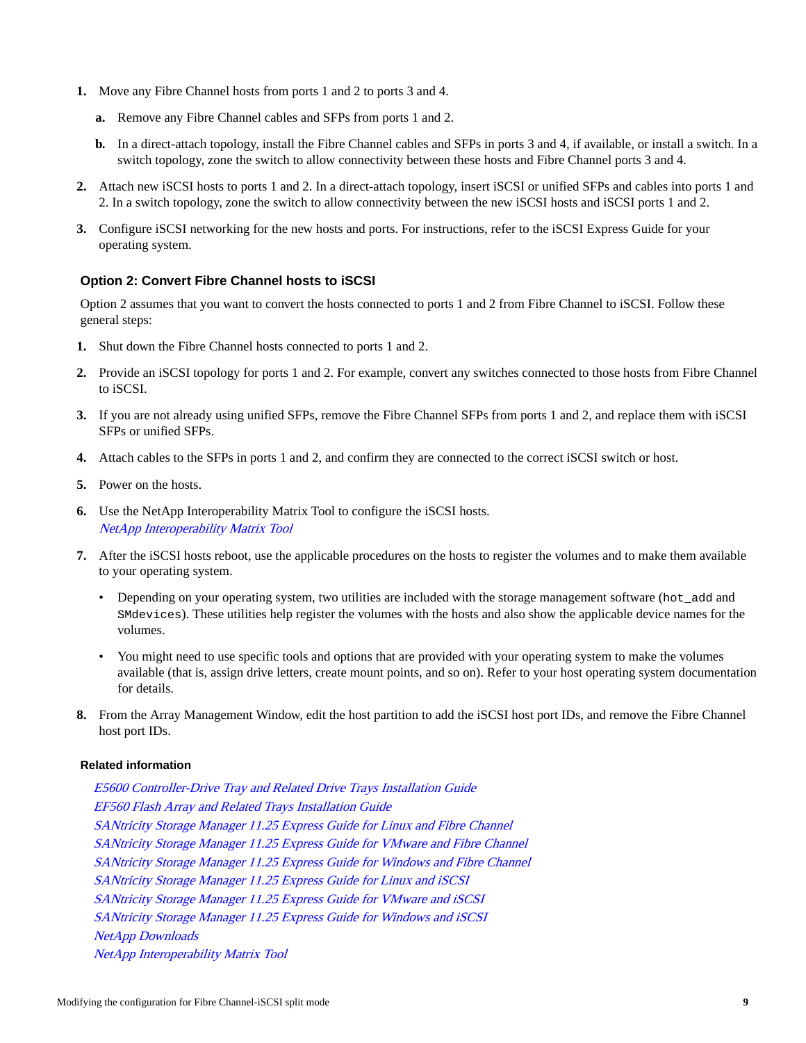- **1.** Move any Fibre Channel hosts from ports 1 and 2 to ports 3 and 4.
	- **a.** Remove any Fibre Channel cables and SFPs from ports 1 and 2.
	- **b.** In a direct-attach topology, install the Fibre Channel cables and SFPs in ports 3 and 4, if available, or install a switch. In a switch topology, zone the switch to allow connectivity between these hosts and Fibre Channel ports 3 and 4.
- **2.** Attach new iSCSI hosts to ports 1 and 2. In a direct-attach topology, insert iSCSI or unified SFPs and cables into ports 1 and 2. In a switch topology, zone the switch to allow connectivity between the new iSCSI hosts and iSCSI ports 1 and 2.
- **3.** Configure iSCSI networking for the new hosts and ports. For instructions, refer to the iSCSI Express Guide for your operating system.

### **Option 2: Convert Fibre Channel hosts to iSCSI**

Option 2 assumes that you want to convert the hosts connected to ports 1 and 2 from Fibre Channel to iSCSI. Follow these general steps:

- **1.** Shut down the Fibre Channel hosts connected to ports 1 and 2.
- **2.** Provide an iSCSI topology for ports 1 and 2. For example, convert any switches connected to those hosts from Fibre Channel to iSCSI.
- **3.** If you are not already using unified SFPs, remove the Fibre Channel SFPs from ports 1 and 2, and replace them with iSCSI SFPs or unified SFPs.
- **4.** Attach cables to the SFPs in ports 1 and 2, and confirm they are connected to the correct iSCSI switch or host.
- **5.** Power on the hosts.
- **6.** Use the NetApp Interoperability Matrix Tool to configure the iSCSI hosts. [NetApp Interoperability Matrix Tool](http://mysupport.netapp.com/matrix)
- **7.** After the iSCSI hosts reboot, use the applicable procedures on the hosts to register the volumes and to make them available to your operating system.
	- Depending on your operating system, two utilities are included with the storage management software (hot add and SMdevices). These utilities help register the volumes with the hosts and also show the applicable device names for the volumes.
	- You might need to use specific tools and options that are provided with your operating system to make the volumes available (that is, assign drive letters, create mount points, and so on). Refer to your host operating system documentation for details.
- **8.** From the Array Management Window, edit the host partition to add the iSCSI host port IDs, and remove the Fibre Channel host port IDs.

### **Related information**

[E5600 Controller-Drive Tray and Related Drive Trays Installation Guide](https://library.netapp.com/ecm/ecm_download_file/ECMP1532527) [EF560 Flash Array and Related Trays Installation Guide](https://library.netapp.com/ecm/ecm_download_file/ECMP1532580) [SANtricity Storage Manager 11.25 Express Guide for Linux and Fibre Channel](https://library.netapp.com/ecm/ecm_download_file/ECMP12409283) [SANtricity Storage Manager 11.25 Express Guide for VMware and Fibre Channel](https://library.netapp.com/ecm/ecm_download_file/ECMP12409272) [SANtricity Storage Manager 11.25 Express Guide for Windows and Fibre Channel](https://library.netapp.com/ecm/ecm_download_file/ECMP12407753) [SANtricity Storage Manager 11.25 Express Guide for Linux and iSCSI](https://library.netapp.com/ecm/ecm_download_file/ECMP12409284) [SANtricity Storage Manager 11.25 Express Guide for VMware and iSCSI](https://library.netapp.com/ecm/ecm_download_file/ECMP12409277) [SANtricity Storage Manager 11.25 Express Guide for Windows and iSCSI](https://library.netapp.com/ecm/ecm_download_file/ECMP12409266) [NetApp Downloads](http://mysupport.netapp.com/eservice/Download.jsp/) [NetApp Interoperability Matrix Tool](http://mysupport.netapp.com/matrix)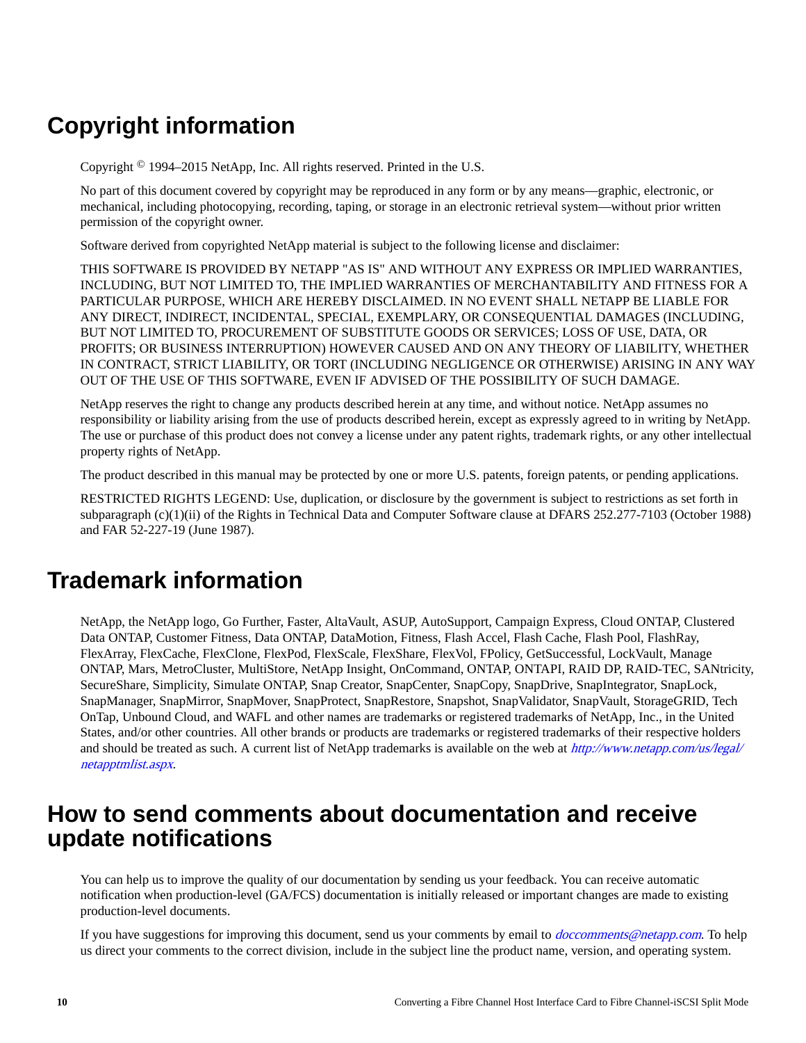# **Copyright information**

Copyright © 1994–2015 NetApp, Inc. All rights reserved. Printed in the U.S.

No part of this document covered by copyright may be reproduced in any form or by any means—graphic, electronic, or mechanical, including photocopying, recording, taping, or storage in an electronic retrieval system—without prior written permission of the copyright owner.

Software derived from copyrighted NetApp material is subject to the following license and disclaimer:

THIS SOFTWARE IS PROVIDED BY NETAPP "AS IS" AND WITHOUT ANY EXPRESS OR IMPLIED WARRANTIES, INCLUDING, BUT NOT LIMITED TO, THE IMPLIED WARRANTIES OF MERCHANTABILITY AND FITNESS FOR A PARTICULAR PURPOSE, WHICH ARE HEREBY DISCLAIMED. IN NO EVENT SHALL NETAPP BE LIABLE FOR ANY DIRECT, INDIRECT, INCIDENTAL, SPECIAL, EXEMPLARY, OR CONSEQUENTIAL DAMAGES (INCLUDING, BUT NOT LIMITED TO, PROCUREMENT OF SUBSTITUTE GOODS OR SERVICES; LOSS OF USE, DATA, OR PROFITS; OR BUSINESS INTERRUPTION) HOWEVER CAUSED AND ON ANY THEORY OF LIABILITY, WHETHER IN CONTRACT, STRICT LIABILITY, OR TORT (INCLUDING NEGLIGENCE OR OTHERWISE) ARISING IN ANY WAY OUT OF THE USE OF THIS SOFTWARE, EVEN IF ADVISED OF THE POSSIBILITY OF SUCH DAMAGE.

NetApp reserves the right to change any products described herein at any time, and without notice. NetApp assumes no responsibility or liability arising from the use of products described herein, except as expressly agreed to in writing by NetApp. The use or purchase of this product does not convey a license under any patent rights, trademark rights, or any other intellectual property rights of NetApp.

The product described in this manual may be protected by one or more U.S. patents, foreign patents, or pending applications.

RESTRICTED RIGHTS LEGEND: Use, duplication, or disclosure by the government is subject to restrictions as set forth in subparagraph (c)(1)(ii) of the Rights in Technical Data and Computer Software clause at DFARS 252.277-7103 (October 1988) and FAR 52-227-19 (June 1987).

# **Trademark information**

NetApp, the NetApp logo, Go Further, Faster, AltaVault, ASUP, AutoSupport, Campaign Express, Cloud ONTAP, Clustered Data ONTAP, Customer Fitness, Data ONTAP, DataMotion, Fitness, Flash Accel, Flash Cache, Flash Pool, FlashRay, FlexArray, FlexCache, FlexClone, FlexPod, FlexScale, FlexShare, FlexVol, FPolicy, GetSuccessful, LockVault, Manage ONTAP, Mars, MetroCluster, MultiStore, NetApp Insight, OnCommand, ONTAP, ONTAPI, RAID DP, RAID-TEC, SANtricity, SecureShare, Simplicity, Simulate ONTAP, Snap Creator, SnapCenter, SnapCopy, SnapDrive, SnapIntegrator, SnapLock, SnapManager, SnapMirror, SnapMover, SnapProtect, SnapRestore, Snapshot, SnapValidator, SnapVault, StorageGRID, Tech OnTap, Unbound Cloud, and WAFL and other names are trademarks or registered trademarks of NetApp, Inc., in the United States, and/or other countries. All other brands or products are trademarks or registered trademarks of their respective holders and should be treated as such. A current list of NetApp trademarks is available on the web at [http://www.netapp.com/us/legal/](http://www.netapp.com/us/legal/netapptmlist.aspx) [netapptmlist.aspx](http://www.netapp.com/us/legal/netapptmlist.aspx).

# **How to send comments about documentation and receive update notifications**

You can help us to improve the quality of our documentation by sending us your feedback. You can receive automatic notification when production-level (GA/FCS) documentation is initially released or important changes are made to existing production-level documents.

If you have suggestions for improving this document, send us your comments by email to *[doccomments@netapp.com](mailto:doccomments@netapp.com)*. To help us direct your comments to the correct division, include in the subject line the product name, version, and operating system.